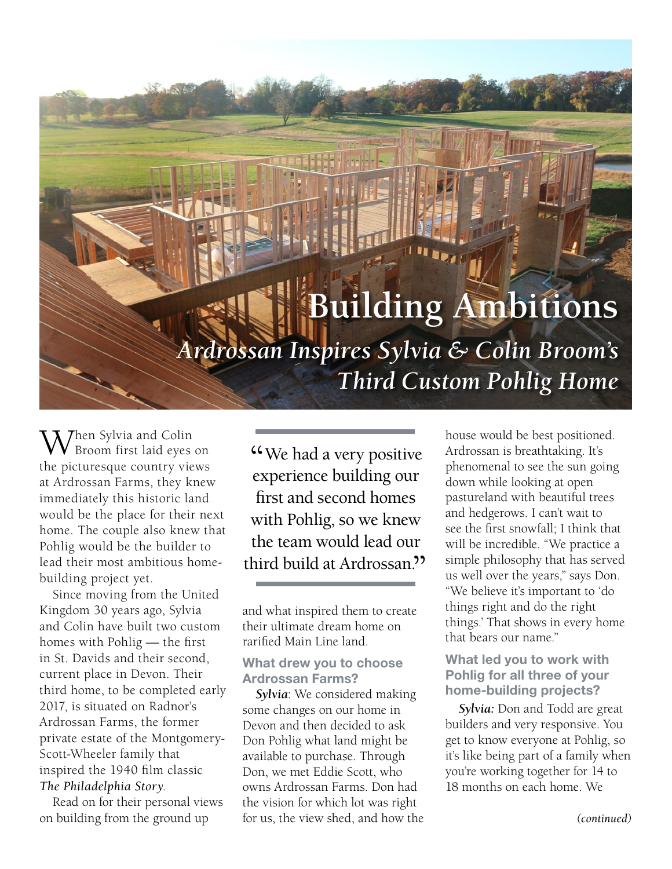# **Building Ambitions** *Ardrossan Inspires Sylvia & Colin Broom's Third Custom Pohlig Home*

**Then Sylvia and Colin** Broom first laid eyes on the picturesque country views at Ardrossan Farms, they knew immediately this historic land would be the place for their next home. The couple also knew that Pohlig would be the builder to lead their most ambitious homebuilding project yet.

Since moving from the United Kingdom 30 years ago, Sylvia and Colin have built two custom homes with Pohlig — the first in St. Davids and their second, current place in Devon. Their third home, to be completed early 2017, is situated on Radnor's Ardrossan Farms, the former private estate of the Montgomery-Scott-Wheeler family that inspired the 1940 film classic *The Philadelphia Story*.

Read on for their personal views on building from the ground up

"We had a very positive" experience building our first and second homes with Pohlig, so we knew the team would lead our third build at Ardrossan."

and what inspired them to create their ultimate dream home on rarified Main Line land.

## **What drew you to choose Ardrossan Farms?**

*Sylvia*: We considered making some changes on our home in Devon and then decided to ask Don Pohlig what land might be available to purchase. Through Don, we met Eddie Scott, who owns Ardrossan Farms. Don had the vision for which lot was right for us, the view shed, and how the house would be best positioned. Ardrossan is breathtaking. It's phenomenal to see the sun going down while looking at open pastureland with beautiful trees and hedgerows. I can't wait to see the first snowfall; I think that will be incredible. "We practice a simple philosophy that has served us well over the years," says Don. "We believe it's important to 'do things right and do the right things.' That shows in every home that bears our name."

## **What led you to work with Pohlig for all three of your home-building projects?**

*Sylvia:* Don and Todd are great builders and very responsive. You get to know everyone at Pohlig, so it's like being part of a family when you're working together for 14 to 18 months on each home. We